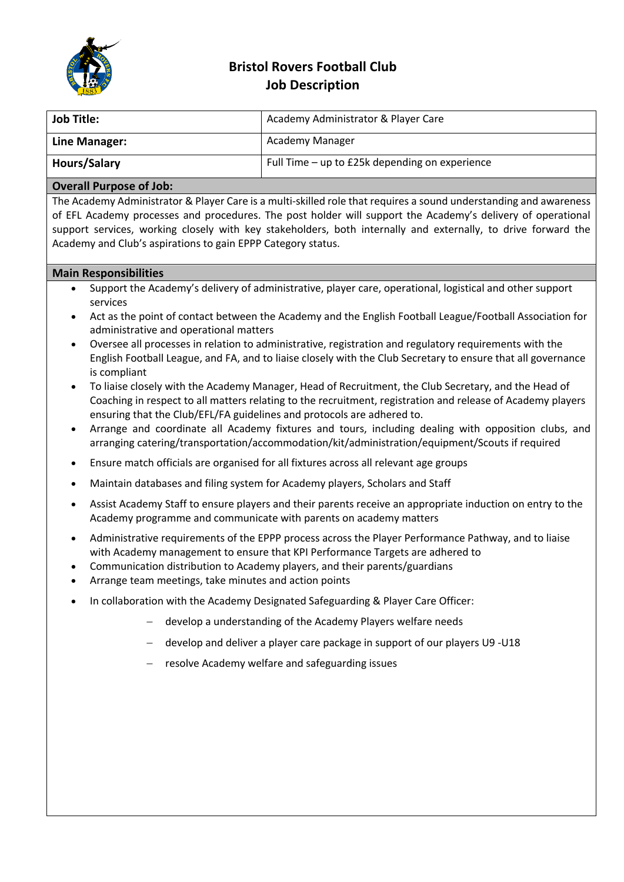

## **Bristol Rovers Football Club Job Description**

| Job Title:          | Academy Administrator & Player Care            |
|---------------------|------------------------------------------------|
| Line Manager:       | Academy Manager                                |
| <b>Hours/Salary</b> | Full Time – up to £25k depending on experience |

## **Overall Purpose of Job:**

The Academy Administrator & Player Care is a multi-skilled role that requires a sound understanding and awareness of EFL Academy processes and procedures. The post holder will support the Academy's delivery of operational support services, working closely with key stakeholders, both internally and externally, to drive forward the Academy and Club's aspirations to gain EPPP Category status.

## **Main Responsibilities**

- Support the Academy's delivery of administrative, player care, operational, logistical and other support services
- Act as the point of contact between the Academy and the English Football League/Football Association for administrative and operational matters
- Oversee all processes in relation to administrative, registration and regulatory requirements with the English Football League, and FA, and to liaise closely with the Club Secretary to ensure that all governance is compliant
- To liaise closely with the Academy Manager, Head of Recruitment, the Club Secretary, and the Head of Coaching in respect to all matters relating to the recruitment, registration and release of Academy players ensuring that the Club/EFL/FA guidelines and protocols are adhered to.
- Arrange and coordinate all Academy fixtures and tours, including dealing with opposition clubs, and arranging catering/transportation/accommodation/kit/administration/equipment/Scouts if required
- Ensure match officials are organised for all fixtures across all relevant age groups
- Maintain databases and filing system for Academy players, Scholars and Staff
- Assist Academy Staff to ensure players and their parents receive an appropriate induction on entry to the Academy programme and communicate with parents on academy matters
- Administrative requirements of the EPPP process across the Player Performance Pathway, and to liaise with Academy management to ensure that KPI Performance Targets are adhered to
- Communication distribution to Academy players, and their parents/guardians
- Arrange team meetings, take minutes and action points
- In collaboration with the Academy Designated Safeguarding & Player Care Officer:
	- develop a understanding of the Academy Players welfare needs
	- develop and deliver a player care package in support of our players U9 -U18
	- resolve Academy welfare and safeguarding issues